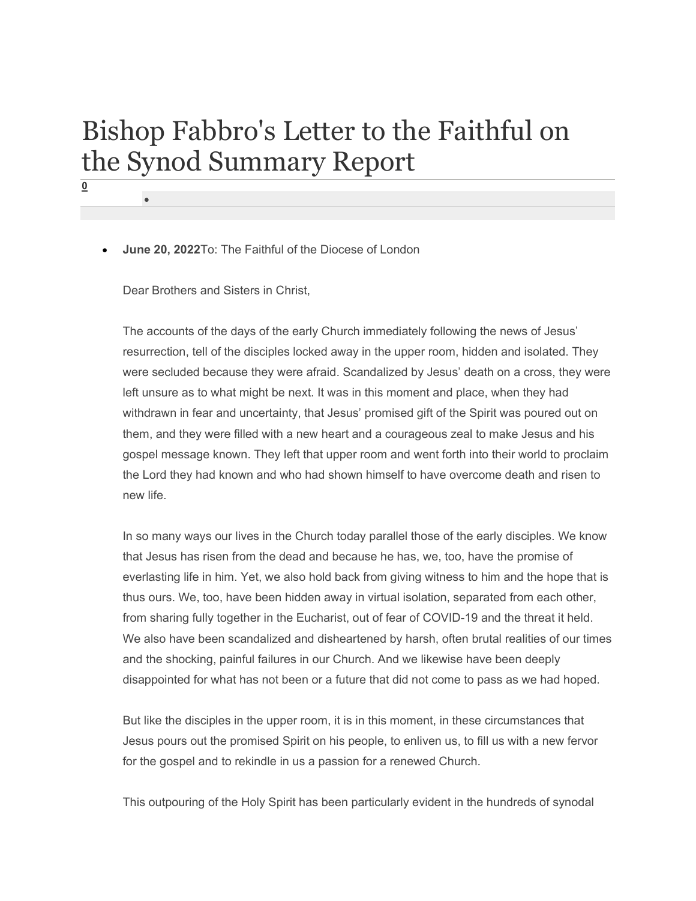## Bishop Fabbro's Letter to the Faithful on the Synod Summary Report

June 20, 2022To: The Faithful of the Diocese of London

Dear Brothers and Sisters in Christ,

0

 $\bullet$ 

The accounts of the days of the early Church immediately following the news of Jesus' resurrection, tell of the disciples locked away in the upper room, hidden and isolated. They were secluded because they were afraid. Scandalized by Jesus' death on a cross, they were left unsure as to what might be next. It was in this moment and place, when they had withdrawn in fear and uncertainty, that Jesus' promised gift of the Spirit was poured out on them, and they were filled with a new heart and a courageous zeal to make Jesus and his gospel message known. They left that upper room and went forth into their world to proclaim the Lord they had known and who had shown himself to have overcome death and risen to new life.

In so many ways our lives in the Church today parallel those of the early disciples. We know that Jesus has risen from the dead and because he has, we, too, have the promise of everlasting life in him. Yet, we also hold back from giving witness to him and the hope that is thus ours. We, too, have been hidden away in virtual isolation, separated from each other, from sharing fully together in the Eucharist, out of fear of COVID-19 and the threat it held. We also have been scandalized and disheartened by harsh, often brutal realities of our times and the shocking, painful failures in our Church. And we likewise have been deeply disappointed for what has not been or a future that did not come to pass as we had hoped.

But like the disciples in the upper room, it is in this moment, in these circumstances that Jesus pours out the promised Spirit on his people, to enliven us, to fill us with a new fervor for the gospel and to rekindle in us a passion for a renewed Church.

This outpouring of the Holy Spirit has been particularly evident in the hundreds of synodal